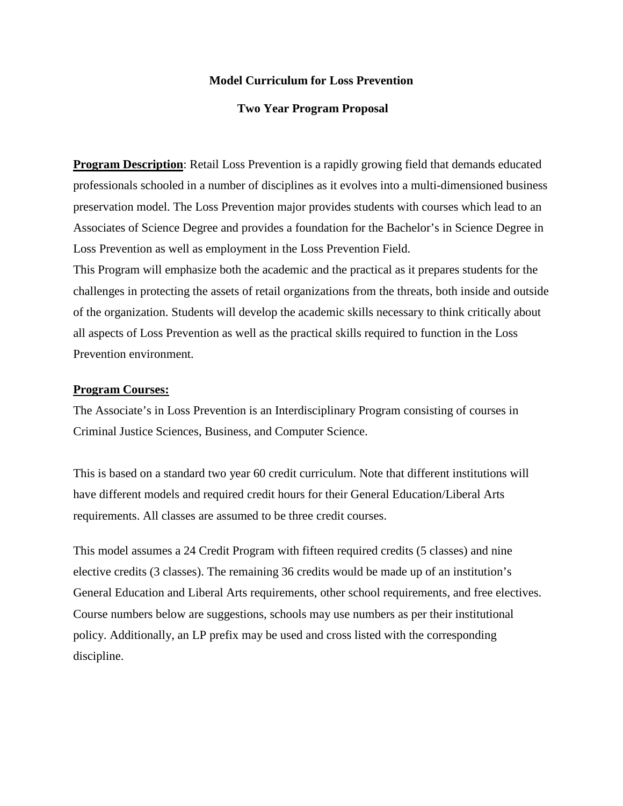## **Model Curriculum for Loss Prevention**

### **Two Year Program Proposal**

**Program Description**: Retail Loss Prevention is a rapidly growing field that demands educated professionals schooled in a number of disciplines as it evolves into a multi-dimensioned business preservation model. The Loss Prevention major provides students with courses which lead to an Associates of Science Degree and provides a foundation for the Bachelor's in Science Degree in Loss Prevention as well as employment in the Loss Prevention Field.

This Program will emphasize both the academic and the practical as it prepares students for the challenges in protecting the assets of retail organizations from the threats, both inside and outside of the organization. Students will develop the academic skills necessary to think critically about all aspects of Loss Prevention as well as the practical skills required to function in the Loss Prevention environment.

#### **Program Courses:**

The Associate's in Loss Prevention is an Interdisciplinary Program consisting of courses in Criminal Justice Sciences, Business, and Computer Science.

This is based on a standard two year 60 credit curriculum. Note that different institutions will have different models and required credit hours for their General Education/Liberal Arts requirements. All classes are assumed to be three credit courses.

This model assumes a 24 Credit Program with fifteen required credits (5 classes) and nine elective credits (3 classes). The remaining 36 credits would be made up of an institution's General Education and Liberal Arts requirements, other school requirements, and free electives. Course numbers below are suggestions, schools may use numbers as per their institutional policy. Additionally, an LP prefix may be used and cross listed with the corresponding discipline.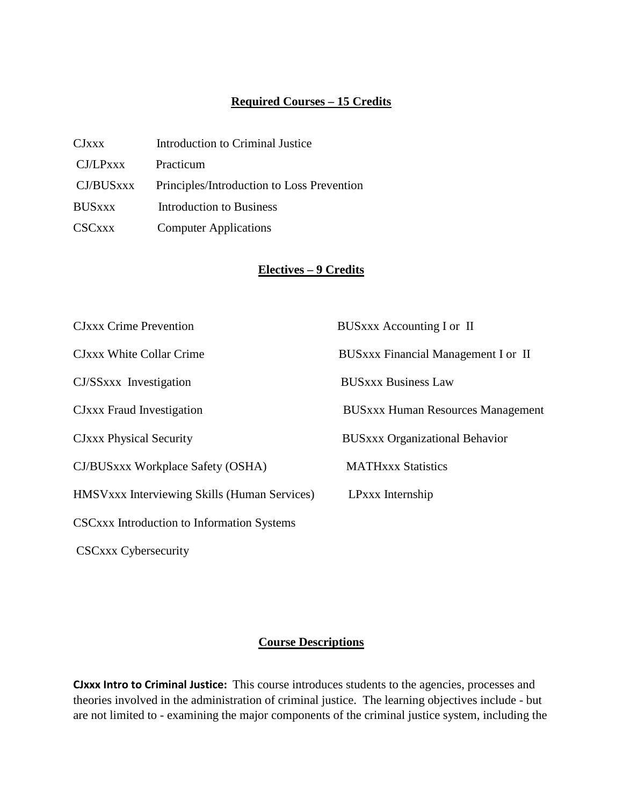## **Required Courses – 15 Credits**

| CJxxx         | Introduction to Criminal Justice           |
|---------------|--------------------------------------------|
| CJ/LPXXX      | Practicum                                  |
| CJ/BUSxxx     | Principles/Introduction to Loss Prevention |
| <b>BUSxxx</b> | Introduction to Business                   |
| <b>CSCxxx</b> | <b>Computer Applications</b>               |

# **Electives – 9 Credits**

| <b>CJxxx Crime Prevention</b>                | BUSXXX Accounting I or II                  |
|----------------------------------------------|--------------------------------------------|
| CJxxx White Collar Crime                     | <b>BUSxxx Financial Management I or II</b> |
| CJ/SSxxx Investigation                       | <b>BUSXXX Business Law</b>                 |
| CJxxx Fraud Investigation                    | <b>BUSxxx Human Resources Management</b>   |
| <b>CJxxx Physical Security</b>               | <b>BUSxxx Organizational Behavior</b>      |
| CJ/BUSxxx Workplace Safety (OSHA)            | <b>MATHxxx Statistics</b>                  |
| HMSVxxx Interviewing Skills (Human Services) | LPxxx Internship                           |
| CSCxxx Introduction to Information Systems   |                                            |

CSCxxx Cybersecurity

# **Course Descriptions**

**CJxxx Intro to Criminal Justice:** This course introduces students to the agencies, processes and theories involved in the administration of criminal justice. The learning objectives include - but are not limited to - examining the major components of the criminal justice system, including the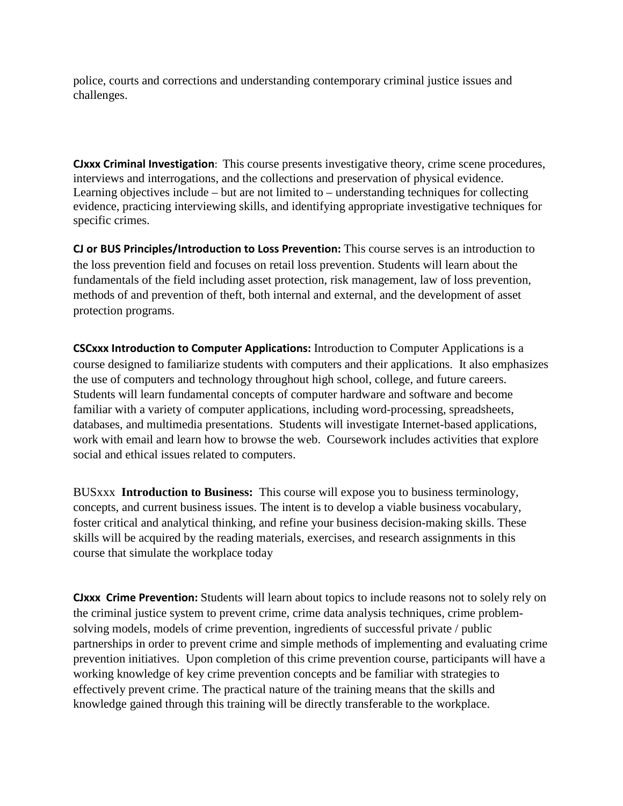police, courts and corrections and understanding contemporary criminal justice issues and challenges.

**CJxxx Criminal Investigation**: This course presents investigative theory, crime scene procedures, interviews and interrogations, and the collections and preservation of physical evidence. Learning objectives include – but are not limited to – understanding techniques for collecting evidence, practicing interviewing skills, and identifying appropriate investigative techniques for specific crimes.

**CJ or BUS Principles/Introduction to Loss Prevention:** This course serves is an introduction to the loss prevention field and focuses on retail loss prevention. Students will learn about the fundamentals of the field including asset protection, risk management, law of loss prevention, methods of and prevention of theft, both internal and external, and the development of asset protection programs.

**CSCxxx Introduction to Computer Applications:** Introduction to Computer Applications is a course designed to familiarize students with computers and their applications. It also emphasizes the use of computers and technology throughout high school, college, and future careers. Students will learn fundamental concepts of computer hardware and software and become familiar with a variety of computer applications, including word-processing, spreadsheets, databases, and multimedia presentations. Students will investigate Internet-based applications, work with email and learn how to browse the web. Coursework includes activities that explore social and ethical issues related to computers.

BUSxxx **Introduction to Business:** This course will expose you to business terminology, concepts, and current business issues. The intent is to develop a viable business vocabulary, foster critical and analytical thinking, and refine your business decision-making skills. These skills will be acquired by the reading materials, exercises, and research assignments in this course that simulate the workplace today

**CJxxx Crime Prevention:** Students will learn about topics to include reasons not to solely rely on the criminal justice system to prevent crime, crime data analysis techniques, crime problemsolving models, models of crime prevention, ingredients of successful private / public partnerships in order to prevent crime and simple methods of implementing and evaluating crime prevention initiatives. Upon completion of this crime prevention course, participants will have a working knowledge of key crime prevention concepts and be familiar with strategies to effectively prevent crime. The practical nature of the training means that the skills and knowledge gained through this training will be directly transferable to the workplace.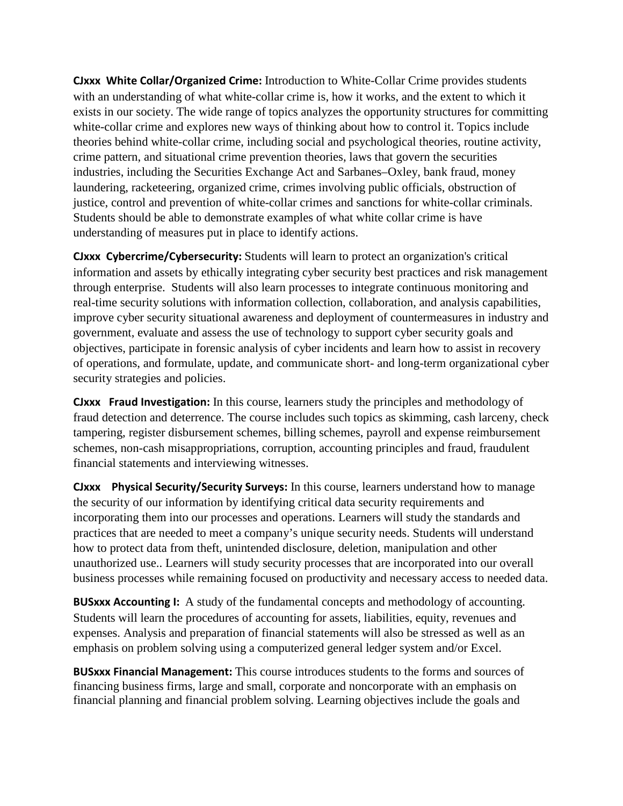**CJxxx White Collar/Organized Crime:** Introduction to White-Collar Crime provides students with an understanding of what white-collar crime is, how it works, and the extent to which it exists in our society. The wide range of topics analyzes the opportunity structures for committing white-collar crime and explores new ways of thinking about how to control it. Topics include theories behind white-collar crime, including social and psychological theories, routine activity, crime pattern, and situational crime prevention theories, laws that govern the securities industries, including the Securities Exchange Act and Sarbanes–Oxley, bank fraud, money laundering, racketeering, organized crime, crimes involving public officials, obstruction of justice, control and prevention of white-collar crimes and sanctions for white-collar criminals. Students should be able to demonstrate examples of what white collar crime is have understanding of measures put in place to identify actions.

**CJxxx Cybercrime/Cybersecurity:** Students will learn to protect an organization's critical information and assets by ethically integrating cyber security best practices and risk management through enterprise. Students will also learn processes to integrate continuous monitoring and real-time security solutions with information collection, collaboration, and analysis capabilities, improve cyber security situational awareness and deployment of countermeasures in industry and government, evaluate and assess the use of technology to support cyber security goals and objectives, participate in forensic analysis of cyber incidents and learn how to assist in recovery of operations, and formulate, update, and communicate short- and long-term organizational cyber security strategies and policies.

**CJxxx Fraud Investigation:** In this course, learners study the principles and methodology of fraud detection and deterrence. The course includes such topics as skimming, cash larceny, check tampering, register disbursement schemes, billing schemes, payroll and expense reimbursement schemes, non-cash misappropriations, corruption, accounting principles and fraud, fraudulent financial statements and interviewing witnesses.

**CJxxx Physical Security/Security Surveys:** In this course, learners understand how to manage the security of our information by identifying critical data security requirements and incorporating them into our processes and operations. Learners will study the standards and practices that are needed to meet a company's unique security needs. Students will understand how to protect data from theft, unintended disclosure, deletion, manipulation and other unauthorized use.. Learners will study security processes that are incorporated into our overall business processes while remaining focused on productivity and necessary access to needed data.

**BUSxxx Accounting I:** A study of the fundamental concepts and methodology of accounting. Students will learn the procedures of accounting for assets, liabilities, equity, revenues and expenses. Analysis and preparation of financial statements will also be stressed as well as an emphasis on problem solving using a computerized general ledger system and/or Excel.

**BUSxxx Financial Management:** This course introduces students to the forms and sources of financing business firms, large and small, corporate and noncorporate with an emphasis on financial planning and financial problem solving. Learning objectives include the goals and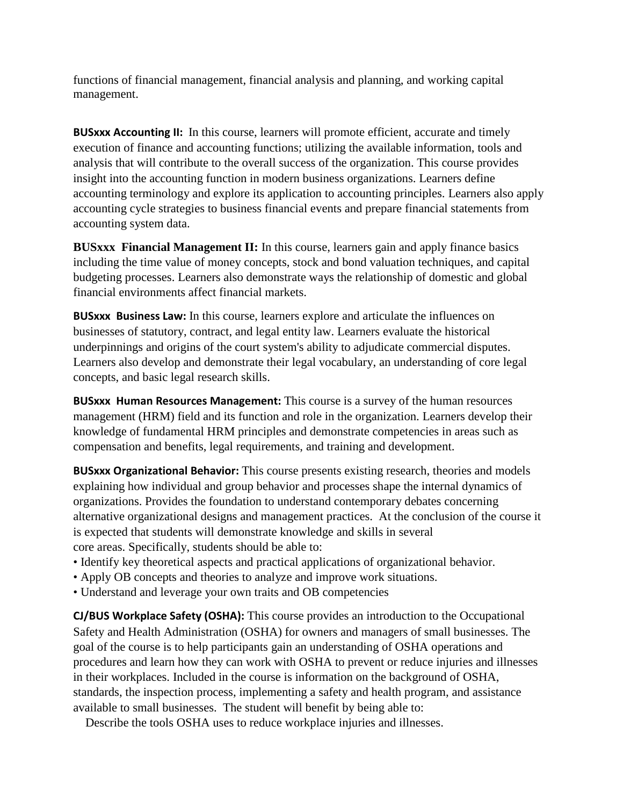functions of financial management, financial analysis and planning, and working capital management.

**BUSxxx Accounting II:** In this course, learners will promote efficient, accurate and timely execution of finance and accounting functions; utilizing the available information, tools and analysis that will contribute to the overall success of the organization. This course provides insight into the accounting function in modern business organizations. Learners define accounting terminology and explore its application to accounting principles. Learners also apply accounting cycle strategies to business financial events and prepare financial statements from accounting system data.

**BUSxxx Financial Management II:** In this course, learners gain and apply finance basics including the time value of money concepts, stock and bond valuation techniques, and capital budgeting processes. Learners also demonstrate ways the relationship of domestic and global financial environments affect financial markets.

**BUSxxx Business Law:** In this course, learners explore and articulate the influences on businesses of statutory, contract, and legal entity law. Learners evaluate the historical underpinnings and origins of the court system's ability to adjudicate commercial disputes. Learners also develop and demonstrate their legal vocabulary, an understanding of core legal concepts, and basic legal research skills.

**BUSxxx Human Resources Management:** This course is a survey of the human resources management (HRM) field and its function and role in the organization. Learners develop their knowledge of fundamental HRM principles and demonstrate competencies in areas such as compensation and benefits, legal requirements, and training and development.

**BUSxxx Organizational Behavior:** This course presents existing research, theories and models explaining how individual and group behavior and processes shape the internal dynamics of organizations. Provides the foundation to understand contemporary debates concerning alternative organizational designs and management practices. At the conclusion of the course it is expected that students will demonstrate knowledge and skills in several core areas. Specifically, students should be able to:

- Identify key theoretical aspects and practical applications of organizational behavior.
- Apply OB concepts and theories to analyze and improve work situations.
- Understand and leverage your own traits and OB competencies

**CJ/BUS Workplace Safety (OSHA):** This course provides an introduction to the Occupational Safety and Health Administration (OSHA) for owners and managers of small businesses. The goal of the course is to help participants gain an understanding of OSHA operations and procedures and learn how they can work with OSHA to prevent or reduce injuries and illnesses in their workplaces. Included in the course is information on the background of OSHA, standards, the inspection process, implementing a safety and health program, and assistance available to small businesses. The student will benefit by being able to:

Describe the tools OSHA uses to reduce workplace injuries and illnesses.